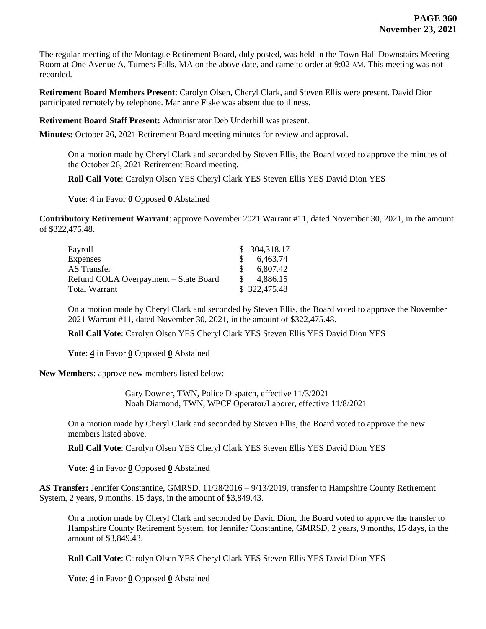The regular meeting of the Montague Retirement Board, duly posted, was held in the Town Hall Downstairs Meeting Room at One Avenue A, Turners Falls, MA on the above date, and came to order at 9:02 AM. This meeting was not recorded.

**Retirement Board Members Present**: Carolyn Olsen, Cheryl Clark, and Steven Ellis were present. David Dion participated remotely by telephone. Marianne Fiske was absent due to illness.

**Retirement Board Staff Present:** Administrator Deb Underhill was present.

**Minutes:** October 26, 2021 Retirement Board meeting minutes for review and approval.

On a motion made by Cheryl Clark and seconded by Steven Ellis, the Board voted to approve the minutes of the October 26, 2021 Retirement Board meeting.

**Roll Call Vote**: Carolyn Olsen YES Cheryl Clark YES Steven Ellis YES David Dion YES

**Vote**: **4** in Favor **0** Opposed **0** Abstained

**Contributory Retirement Warrant**: approve November 2021 Warrant #11, dated November 30, 2021, in the amount of \$322,475.48.

| Payroll                               |     | \$ 304,318.17 |
|---------------------------------------|-----|---------------|
| <b>Expenses</b>                       | -SS | 6,463.74      |
| AS Transfer                           |     | 6.807.42      |
| Refund COLA Overpayment – State Board |     | 4.886.15      |
| Total Warrant                         |     | \$322,475.48  |

On a motion made by Cheryl Clark and seconded by Steven Ellis, the Board voted to approve the November 2021 Warrant #11, dated November 30, 2021, in the amount of \$322,475.48.

**Roll Call Vote**: Carolyn Olsen YES Cheryl Clark YES Steven Ellis YES David Dion YES

**Vote**: **4** in Favor **0** Opposed **0** Abstained

**New Members**: approve new members listed below:

Gary Downer, TWN, Police Dispatch, effective 11/3/2021 Noah Diamond, TWN, WPCF Operator/Laborer, effective 11/8/2021

On a motion made by Cheryl Clark and seconded by Steven Ellis, the Board voted to approve the new members listed above.

**Roll Call Vote**: Carolyn Olsen YES Cheryl Clark YES Steven Ellis YES David Dion YES

**Vote**: **4** in Favor **0** Opposed **0** Abstained

**AS Transfer:** Jennifer Constantine, GMRSD, 11/28/2016 – 9/13/2019, transfer to Hampshire County Retirement System, 2 years, 9 months, 15 days, in the amount of \$3,849.43.

On a motion made by Cheryl Clark and seconded by David Dion, the Board voted to approve the transfer to Hampshire County Retirement System, for Jennifer Constantine, GMRSD, 2 years, 9 months, 15 days, in the amount of \$3,849.43.

**Roll Call Vote**: Carolyn Olsen YES Cheryl Clark YES Steven Ellis YES David Dion YES

**Vote**: **4** in Favor **0** Opposed **0** Abstained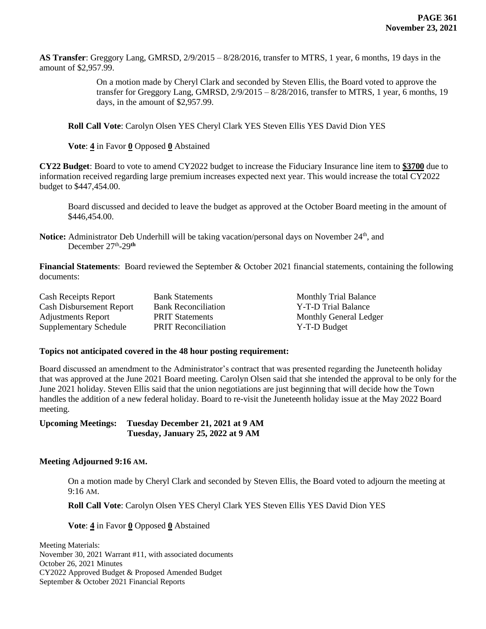**AS Transfer**: Greggory Lang, GMRSD, 2/9/2015 – 8/28/2016, transfer to MTRS, 1 year, 6 months, 19 days in the amount of \$2,957.99.

> On a motion made by Cheryl Clark and seconded by Steven Ellis, the Board voted to approve the transfer for Greggory Lang, GMRSD,  $2/9/2015 - 8/28/2016$ , transfer to MTRS, 1 year, 6 months, 19 days, in the amount of \$2,957.99.

**Roll Call Vote**: Carolyn Olsen YES Cheryl Clark YES Steven Ellis YES David Dion YES

**Vote**: **4** in Favor **0** Opposed **0** Abstained

**CY22 Budget**: Board to vote to amend CY2022 budget to increase the Fiduciary Insurance line item to **\$3700** due to information received regarding large premium increases expected next year. This would increase the total CY2022 budget to \$447,454.00.

Board discussed and decided to leave the budget as approved at the October Board meeting in the amount of \$446,454.00.

**Notice:** Administrator Deb Underhill will be taking vacation/personal days on November 24<sup>th</sup>, and December 27th -29**th**

**Financial Statements**: Board reviewed the September & October 2021 financial statements, containing the following documents:

| <b>Cash Receipts Report</b>     | <b>Bank Statements</b>     | <b>Monthly Trial Balance</b>  |
|---------------------------------|----------------------------|-------------------------------|
| <b>Cash Disbursement Report</b> | <b>Bank Reconciliation</b> | Y-T-D Trial Balance           |
| <b>Adjustments Report</b>       | <b>PRIT Statements</b>     | <b>Monthly General Ledger</b> |
| <b>Supplementary Schedule</b>   | <b>PRIT Reconciliation</b> | Y-T-D Budget                  |

## **Topics not anticipated covered in the 48 hour posting requirement:**

Board discussed an amendment to the Administrator's contract that was presented regarding the Juneteenth holiday that was approved at the June 2021 Board meeting. Carolyn Olsen said that she intended the approval to be only for the June 2021 holiday. Steven Ellis said that the union negotiations are just beginning that will decide how the Town handles the addition of a new federal holiday. Board to re-visit the Juneteenth holiday issue at the May 2022 Board meeting.

**Upcoming Meetings: Tuesday December 21, 2021 at 9 AM Tuesday, January 25, 2022 at 9 AM**

## **Meeting Adjourned 9:16 AM.**

On a motion made by Cheryl Clark and seconded by Steven Ellis, the Board voted to adjourn the meeting at 9:16 AM.

**Roll Call Vote**: Carolyn Olsen YES Cheryl Clark YES Steven Ellis YES David Dion YES

**Vote**: **4** in Favor **0** Opposed **0** Abstained

Meeting Materials: November 30, 2021 Warrant #11, with associated documents October 26, 2021 Minutes CY2022 Approved Budget & Proposed Amended Budget September & October 2021 Financial Reports